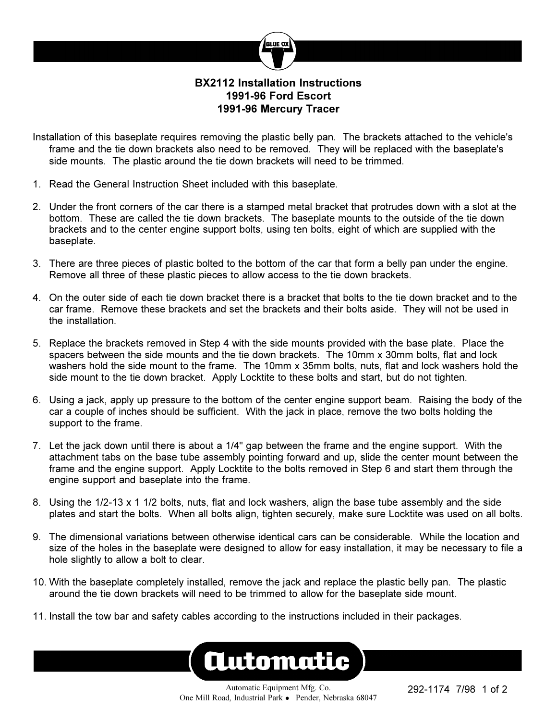

## **BX2112 Installation Instructions 1991-96 Ford Escort 1991-96 Mercury Tracer**

- Installation of this baseplate requires removing the plastic belly pan. The brackets attached to the vehicle's frame and the tie down brackets also need to be removed. They will be replaced with the baseplate's side mounts. The plastic around the tie down brackets will need to be trimmed.
- 1. Read the General Instruction Sheet included with this baseplate.
- 2. Under the front corners of the car there is a stamped metal bracket that protrudes down with a slot at the bottom. These are called the tie down brackets. The baseplate mounts to the outside of the tie down brackets and to the center engine support bolts, using ten bolts, eight of which are supplied with the baseplate.
- 3. There are three pieces of plastic bolted to the bottom of the car that form a belly pan under the engine. Remove all three of these plastic pieces to allow access to the tie down brackets.
- 4. On the outer side of each tie down bracket there is a bracket that bolts to the tie down bracket and to the car frame. Remove these brackets and set the brackets and their bolts aside. They will not be used in the installation.
- 5. Replace the brackets removed in Step 4 with the side mounts provided with the base plate. Place the spacers between the side mounts and the tie down brackets. The 10mm x 30mm bolts, flat and lock washers hold the side mount to the frame. The 10mm x 35mm bolts, nuts, flat and lock washers hold the side mount to the tie down bracket. Apply Locktite to these bolts and start, but do not tighten.
- 6. Using a jack, apply up pressure to the bottom of the center engine support beam. Raising the body of the car a couple of inches should be sufficient. With the jack in place, remove the two bolts holding the support to the frame.
- 7. Let the jack down until there is about a 1/4" gap between the frame and the engine support. With the attachment tabs on the base tube assembly pointing forward and up, slide the center mount between the frame and the engine support. Apply Locktite to the bolts removed in Step 6 and start them through the engine support and baseplate into the frame.
- 8. Using the 1/2-13 x 1 1/2 bolts, nuts, flat and lock washers, align the base tube assembly and the side plates and start the bolts. When all bolts align, tighten securely, make sure Locktite was used on all bolts.
- 9. The dimensional variations between otherwise identical cars can be considerable. While the location and size of the holes in the baseplate were designed to allow for easy installation, it may be necessary to file a hole slightly to allow a bolt to clear.
- 10. With the baseplate completely installed, remove the jack and replace the plastic belly pan. The plastic around the tie down brackets will need to be trimmed to allow for the baseplate side mount.
- 11. Install the tow bar and safety cables according to the instructions included in their packages.